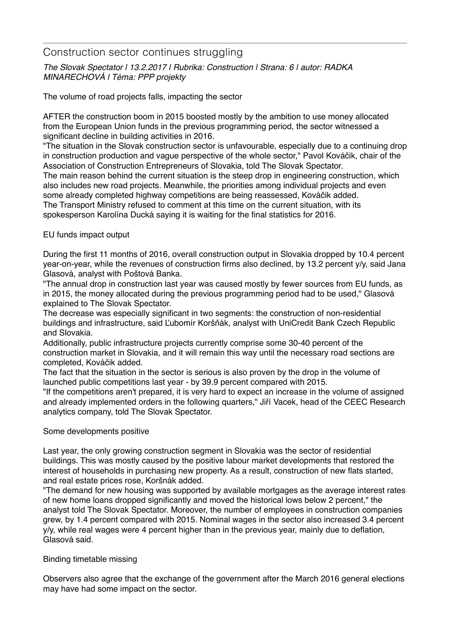# Construction sector continues struggling

*The Slovak Spectator | 13.2.2017 | Rubrika: Construction | Strana: 6 | autor: RADKA MINARECHOVÁ | Téma: PPP projekty*

The volume of road projects falls, impacting the sector

AFTER the construction boom in 2015 boosted mostly by the ambition to use money allocated from the European Union funds in the previous programming period, the sector witnessed a significant decline in building activities in 2016.

"The situation in the Slovak construction sector is unfavourable, especially due to a continuing drop in construction production and vague perspective of the whole sector," Pavol Kováčik, chair of the Association of Construction Entrepreneurs of Slovakia, told The Slovak Spectator.

The main reason behind the current situation is the steep drop in engineering construction, which also includes new road projects. Meanwhile, the priorities among individual projects and even some already completed highway competitions are being reassessed, Kováčik added. The Transport Ministry refused to comment at this time on the current situation, with its spokesperson Karolína Ducká saying it is waiting for the final statistics for 2016.

## EU funds impact output

During the first 11 months of 2016, overall construction output in Slovakia dropped by 10.4 percent year-on-year, while the revenues of construction firms also declined, by 13.2 percent y/y, said Jana Glasová, analyst with Poštová Banka.

"The annual drop in construction last year was caused mostly by fewer sources from EU funds, as in 2015, the money allocated during the previous programming period had to be used," Glasová explained to The Slovak Spectator.

The decrease was especially significant in two segments: the construction of non-residential buildings and infrastructure, said Ľubomír Koršňák, analyst with UniCredit Bank Czech Republic and Slovakia.

Additionally, public infrastructure projects currently comprise some 30-40 percent of the construction market in Slovakia, and it will remain this way until the necessary road sections are completed, Kováčik added.

The fact that the situation in the sector is serious is also proven by the drop in the volume of launched public competitions last year - by 39.9 percent compared with 2015.

"If the competitions aren't prepared, it is very hard to expect an increase in the volume of assigned and already implemented orders in the following quarters," Jiří Vacek, head of the CEEC Research analytics company, told The Slovak Spectator.

#### Some developments positive

Last year, the only growing construction segment in Slovakia was the sector of residential buildings. This was mostly caused by the positive labour market developments that restored the interest of households in purchasing new property. As a result, construction of new flats started, and real estate prices rose, Koršnák added.

"The demand for new housing was supported by available mortgages as the average interest rates of new home loans dropped significantly and moved the historical lows below 2 percent," the analyst told The Slovak Spectator. Moreover, the number of employees in construction companies grew, by 1.4 percent compared with 2015. Nominal wages in the sector also increased 3.4 percent y/y, while real wages were 4 percent higher than in the previous year, mainly due to deflation, Glasová said.

## Binding timetable missing

Observers also agree that the exchange of the government after the March 2016 general elections may have had some impact on the sector.